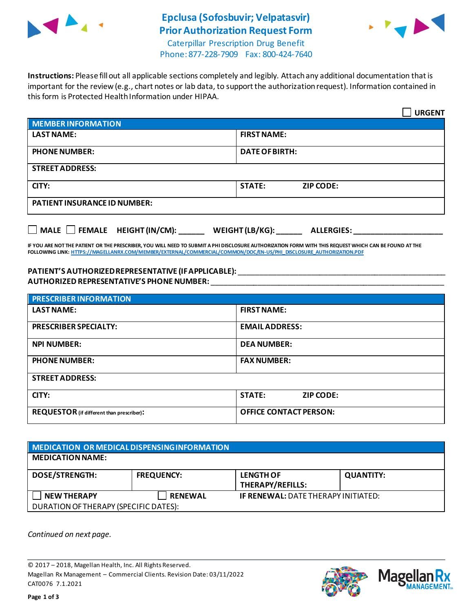

## **Epclusa (Sofosbuvir; Velpatasvir) Prior Authorization Request Form**



Caterpillar Prescription Drug Benefit Phone: 877-228-7909 Fax: 800-424-7640

**Instructions:** Please fill out all applicable sections completely and legibly. Attach any additional documentation that is important for the review (e.g., chart notes or lab data, to support the authorization request). Information contained in this form is Protected Health Information under HIPAA.

|                                                                                                                                                                                                                                                                                                                                                                                                                                           | <b>URGENT</b>              |  |  |  |
|-------------------------------------------------------------------------------------------------------------------------------------------------------------------------------------------------------------------------------------------------------------------------------------------------------------------------------------------------------------------------------------------------------------------------------------------|----------------------------|--|--|--|
| <b>MEMBER INFORMATION</b>                                                                                                                                                                                                                                                                                                                                                                                                                 |                            |  |  |  |
| <b>LAST NAME:</b>                                                                                                                                                                                                                                                                                                                                                                                                                         | <b>FIRST NAME:</b>         |  |  |  |
| <b>PHONE NUMBER:</b>                                                                                                                                                                                                                                                                                                                                                                                                                      | <b>DATE OF BIRTH:</b>      |  |  |  |
| <b>STREET ADDRESS:</b>                                                                                                                                                                                                                                                                                                                                                                                                                    |                            |  |  |  |
| CITY:                                                                                                                                                                                                                                                                                                                                                                                                                                     | STATE:<br><b>ZIP CODE:</b> |  |  |  |
| <b>PATIENT INSURANCE ID NUMBER:</b>                                                                                                                                                                                                                                                                                                                                                                                                       |                            |  |  |  |
| $\Box$ MALE $\Box$ FEMALE HEIGHT (IN/CM): WEIGHT (LB/KG): ALLERGIES:<br>IF YOU ARE NOT THE PATIENT OR THE PRESCRIBER, YOU WILL NEED TO SUBMIT A PHI DISCLOSURE AUTHORIZATION FORM WITH THIS REQUEST WHICH CAN BE FOUND AT THE<br>FOLLOWING LINK: HTTPS://MAGELLANRX.COM/MEMBER/EXTERNAL/COMMERCIAL/COMMON/DOC/EN-US/PHI DISCLOSURE AUTHORIZATION.PDF<br>PATIENT'S AUTHORIZED REPRESENTATIVE (IF APPLICABLE): ____________________________ |                            |  |  |  |
| <b>PRESCRIBER INFORMATION</b>                                                                                                                                                                                                                                                                                                                                                                                                             |                            |  |  |  |
| <b>LAST NAME:</b>                                                                                                                                                                                                                                                                                                                                                                                                                         | <b>FIRST NAME:</b>         |  |  |  |
| <b>PRESCRIBER SPECIALTY:</b>                                                                                                                                                                                                                                                                                                                                                                                                              | <b>EMAIL ADDRESS:</b>      |  |  |  |

| <b>NPI NUMBER:</b>                               | <b>DEA NUMBER:</b>            |  |  |  |
|--------------------------------------------------|-------------------------------|--|--|--|
| <b>PHONE NUMBER:</b>                             | <b>FAX NUMBER:</b>            |  |  |  |
| <b>STREET ADDRESS:</b>                           |                               |  |  |  |
| CITY:                                            | <b>STATE:</b><br>ZIP CODE:    |  |  |  |
| <b>REQUESTOR</b> (if different than prescriber): | <b>OFFICE CONTACT PERSON:</b> |  |  |  |

| MEDICATION OR MEDICAL DISPENSING INFORMATION |                   |                                             |                  |  |  |
|----------------------------------------------|-------------------|---------------------------------------------|------------------|--|--|
| <b>MEDICATION NAME:</b>                      |                   |                                             |                  |  |  |
| <b>DOSE/STRENGTH:</b>                        | <b>FREQUENCY:</b> | <b>LENGTH OF</b><br><b>THERAPY/REFILLS:</b> | <b>QUANTITY:</b> |  |  |
| <b>NEW THERAPY</b>                           | <b>RENEWAL</b>    | <b>IF RENEWAL: DATE THERAPY INITIATED:</b>  |                  |  |  |
| DURATION OF THERAPY (SPECIFIC DATES):        |                   |                                             |                  |  |  |

*Continued on next page.*

© 2017 – 2018, Magellan Health, Inc. All Rights Reserved. Magellan Rx Management – Commercial Clients. Revision Date: 03/11/2022 CAT0076 7.1.2021



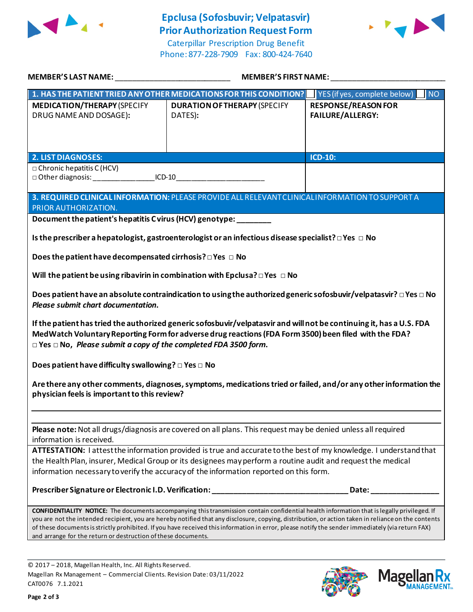

## **Epclusa (Sofosbuvir; Velpatasvir) Prior Authorization Request Form**

Caterpillar Prescription Drug Benefit Phone: 877-228-7909 Fax: 800-424-7640



| MEMBER'S LAST NAME:                                                                                                                                                                                                                                                                                                                                                                                                                                                                                                     | <b>MEMBER'S FIRST NAME:</b>                                                      |                                                       |  |  |
|-------------------------------------------------------------------------------------------------------------------------------------------------------------------------------------------------------------------------------------------------------------------------------------------------------------------------------------------------------------------------------------------------------------------------------------------------------------------------------------------------------------------------|----------------------------------------------------------------------------------|-------------------------------------------------------|--|--|
|                                                                                                                                                                                                                                                                                                                                                                                                                                                                                                                         | 1. HAS THE PATIENT TRIED ANY OTHER MEDICATIONS FOR THIS CONDITION?               | YES (if yes, complete below)<br>INO                   |  |  |
| <b>MEDICATION/THERAPY (SPECIFY</b><br>DRUG NAME AND DOSAGE):                                                                                                                                                                                                                                                                                                                                                                                                                                                            | <b>DURATION OF THERAPY (SPECIFY</b><br>DATES):                                   | <b>RESPONSE/REASON FOR</b><br><b>FAILURE/ALLERGY:</b> |  |  |
|                                                                                                                                                                                                                                                                                                                                                                                                                                                                                                                         |                                                                                  |                                                       |  |  |
| <b>2. LIST DIAGNOSES:</b><br>$\Box$ Chronic hepatitis C (HCV)<br>□ Other diagnosis: ___________________ICD-10___________________________________                                                                                                                                                                                                                                                                                                                                                                        |                                                                                  | <b>ICD-10:</b>                                        |  |  |
| 3. REQUIRED CLINICAL INFORMATION: PLEASE PROVIDE ALL RELEVANT CLINICAL INFORMATION TO SUPPORT A<br>PRIOR AUTHORIZATION.                                                                                                                                                                                                                                                                                                                                                                                                 |                                                                                  |                                                       |  |  |
| Document the patient's hepatitis Cvirus (HCV) genotype:                                                                                                                                                                                                                                                                                                                                                                                                                                                                 |                                                                                  |                                                       |  |  |
| Is the prescriber a hepatologist, gastroenterologist or an infectious disease specialist? $\Box$ Yes $\Box$ No                                                                                                                                                                                                                                                                                                                                                                                                          |                                                                                  |                                                       |  |  |
| Does the patient have decompensated cirrhosis? $\square$ Yes $\square$ No                                                                                                                                                                                                                                                                                                                                                                                                                                               |                                                                                  |                                                       |  |  |
| Will the patient be using ribavirin in combination with Epclusa? $\Box$ Yes $\Box$ No                                                                                                                                                                                                                                                                                                                                                                                                                                   |                                                                                  |                                                       |  |  |
| Does patient have an absolute contraindication to using the authorized generic sofosbuvir/velpatasvir? $\Box$ Yes $\Box$ No<br>Please submit chart documentation.                                                                                                                                                                                                                                                                                                                                                       |                                                                                  |                                                       |  |  |
| If the patient has tried the authorized generic sofosbuvir/velpatasvir and will not be continuing it, has a U.S. FDA<br>MedWatch Voluntary Reporting Form for adverse drug reactions (FDA Form 3500) been filed with the FDA?<br>$\Box$ Yes $\Box$ No, Please submit a copy of the completed FDA 3500 form.                                                                                                                                                                                                             |                                                                                  |                                                       |  |  |
| Does patient have difficulty swallowing? $\square$ Yes $\square$ No                                                                                                                                                                                                                                                                                                                                                                                                                                                     |                                                                                  |                                                       |  |  |
| Are there any other comments, diagnoses, symptoms, medications tried or failed, and/or any other information the<br>physician feels is important to this review?                                                                                                                                                                                                                                                                                                                                                        |                                                                                  |                                                       |  |  |
|                                                                                                                                                                                                                                                                                                                                                                                                                                                                                                                         |                                                                                  |                                                       |  |  |
| Please note: Not all drugs/diagnosis are covered on all plans. This request may be denied unless all required<br>information is received.                                                                                                                                                                                                                                                                                                                                                                               |                                                                                  |                                                       |  |  |
| ATTESTATION: I attest the information provided is true and accurate to the best of my knowledge. I understand that                                                                                                                                                                                                                                                                                                                                                                                                      |                                                                                  |                                                       |  |  |
| the Health Plan, insurer, Medical Group or its designees may perform a routine audit and request the medical<br>information necessary to verify the accuracy of the information reported on this form.                                                                                                                                                                                                                                                                                                                  |                                                                                  |                                                       |  |  |
|                                                                                                                                                                                                                                                                                                                                                                                                                                                                                                                         | Prescriber Signature or Electronic I.D. Verification: __________________________ | Date: __________                                      |  |  |
| CONFIDENTIALITY NOTICE: The documents accompanying this transmission contain confidential health information that is legally privileged. If<br>you are not the intended recipient, you are hereby notified that any disclosure, copying, distribution, or action taken in reliance on the contents<br>of these documents is strictly prohibited. If you have received this information in error, please notify the sender immediately (via return FAX)<br>and arrange for the return or destruction of these documents. |                                                                                  |                                                       |  |  |

© 2017 – 2018, Magellan Health, Inc. All Rights Reserved. Magellan Rx Management – Commercial Clients. Revision Date: 03/11/2022 CAT0076 7.1.2021



**Magella** 

**MANAGEMENT**<sub>SM</sub>